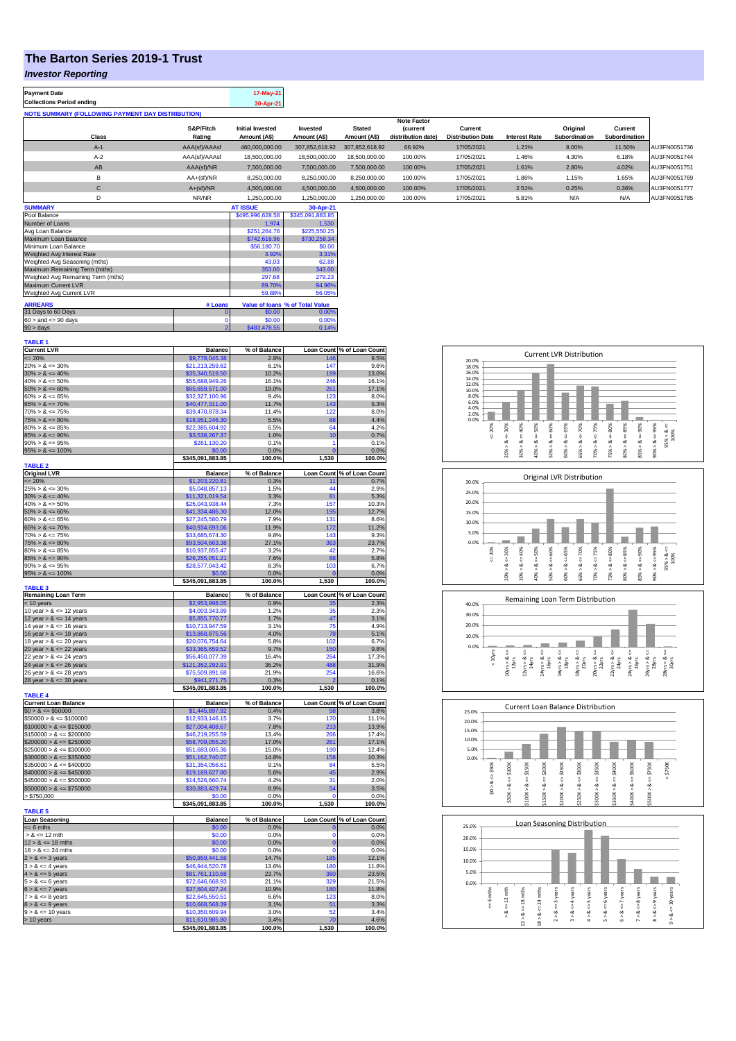## **The Barton Series 2019-1 Trust**

## *Investor Reporting*

| <b>Payment Date</b>                                      |                     | 17-May-21                               |                          |                               |                                      |                                     |                      |                           |                          |              |
|----------------------------------------------------------|---------------------|-----------------------------------------|--------------------------|-------------------------------|--------------------------------------|-------------------------------------|----------------------|---------------------------|--------------------------|--------------|
| <b>Collections Period ending</b>                         |                     | 30-Apr-21                               |                          |                               |                                      |                                     |                      |                           |                          |              |
| <b>NOTE SUMMARY (FOLLOWING PAYMENT DAY DISTRIBUTION)</b> |                     |                                         |                          |                               |                                      |                                     |                      |                           |                          |              |
|                                                          |                     |                                         |                          |                               | <b>Note Factor</b>                   |                                     |                      |                           |                          |              |
| Class                                                    | S&P/Fitch<br>Rating | <b>Initial Invested</b><br>Amount (A\$) | Invested<br>Amount (A\$) | <b>Stated</b><br>Amount (A\$) | <b>Current</b><br>distribution date) | Current<br><b>Distribution Date</b> | <b>Interest Rate</b> | Original<br>Subordination | Current<br>Subordination |              |
| $A-1$                                                    | AAA(sf)/AAAsf       | 460.000.000.00                          | 307.852.618.92           | 307.852.618.92                | 66.92%                               | 17/05/2021                          | 1.21%                | 8.00%                     | 11.50%                   | AU3FN0051736 |
| $A-2$                                                    | AAA(sf)/AAAsf       | 18,500,000,00                           | 18,500,000,00            | 18.500.000.00                 | 100.00%                              | 17/05/2021                          | 1.46%                | 4.30%                     | 6.18%                    | AU3FN0051744 |
| AB                                                       | AAA(sf)/NR          | 7.500.000.00                            | 7.500.000.00             | 7.500.000.00                  | 100.00%                              | 17/05/2021                          | 1.61%                | 2.80%                     | 4.02%                    | AU3FN0051751 |
| B                                                        | $AA+(sf)/NR$        | 8,250,000.00                            | 8,250,000.00             | 8.250.000.00                  | 100.00%                              | 17/05/2021                          | 1.86%                | 1.15%                     | 1.65%                    | AU3FN0051769 |
| С                                                        | $A+(sf)/NR$         | 4.500.000.00                            | 4.500.000.00             | 4.500.000.00                  | 100.00%                              | 17/05/2021                          | 2.51%                | 0.25%                     | 0.36%                    | AU3FN0051777 |
| D                                                        | NR/NR               | 1.250.000.00                            | 1,250,000.00             | 1,250,000.00                  | 100.00%                              | 17/05/2021                          | 5.81%                | N/A                       | N/A                      | AU3FN0051785 |
| <b>SUMMARY</b>                                           |                     | <b>AT ISSUE</b>                         | 30-Apr-21                |                               |                                      |                                     |                      |                           |                          |              |

| Pool Balance                       |                | \$495,996,628,58 | \$345,091,883.85                |
|------------------------------------|----------------|------------------|---------------------------------|
| Number of Loans                    |                | 1.974            | 1.530                           |
| Avg Loan Balance                   |                | \$251.264.76     | \$225,550.25                    |
| Maximum Loan Balance               |                | \$742,616.96     | \$730.258.34                    |
| Minimum Loan Balance               |                | \$56,180.70      | \$0.00                          |
| Weighted Avg Interest Rate         |                | 3.92%            | 3.31%                           |
| Weighted Avg Seasoning (mths)      |                | 43.03            | 62.88                           |
| Maximum Remaining Term (mths)      |                | 353.00           | 343.00                          |
| Weighted Avg Remaining Term (mths) |                | 297.68           | 279.23                          |
| <b>Maximum Current LVR</b>         |                | 89.70%           | 94.96%                          |
| Weighted Avg Current LVR           |                | 59.88%           | 56.05%                          |
| <b>ARREARS</b>                     | # Loans        |                  | Value of Ioans % of Total Value |
|                                    |                |                  |                                 |
| 31 Days to 60 Days                 | o              | \$0.00           | 0.00%                           |
| $60 >$ and $\leq 90$ days          | U              | \$0.00           | 0.00%                           |
| $90 >$ days                        | $\overline{2}$ | \$483,478.55     | 0.14%                           |

| TABLE 1                                      |                                     |                |                         |                                    |
|----------------------------------------------|-------------------------------------|----------------|-------------------------|------------------------------------|
| <b>Current LVR</b>                           | <b>Balance</b>                      | % of Balance   |                         | Loan Count % of Loan Count         |
| $= 20%$                                      | \$9,778,045.38                      | 2.8%           | 146                     | 9.5%                               |
| $20\% > 8 \le 30\%$                          | \$21,213,259.62                     | 6.1%           | 147                     | 9.6%                               |
| $30\% > 8 \le 40\%$                          | \$35,340,519.50                     | 10.2%          | 199                     | 13.0%                              |
| $40\% > 8 \le 50\%$                          | \$55,688,949.26                     | 16.1%          | 246                     | 16.1%                              |
| $50\% > 8 \le 60\%$                          |                                     |                | 261                     |                                    |
|                                              | \$65,659,571.00                     | 19.0%          |                         | 17.1%                              |
| $60\% > 8 \le 65\%$                          | \$32,327,100.96                     | 9.4%           | 123                     | 8.0%                               |
| $65\% > 8 \le 70\%$                          | \$40,477,311.00                     | 11.7%          | 143                     | 9.3%                               |
| $70\% > 8 \le 75\%$                          | \$39,470,878.34                     | 11.4%          | 122                     | 8.0%                               |
| $75\% > 8 \le 80\%$                          | \$18,951,246.30                     | 5.5%           | 68                      | 4.4%                               |
| $80\% > 8 \le 85\%$                          | \$22,385,604.92                     | 6.5%           | 64                      | 4.2%                               |
| $85\% > 8 \le 90\%$                          | \$3,538,267.37                      | 1.0%           | 10                      | 0.7%                               |
| $90\% > 8 \le 95\%$                          | \$261,130.20                        | 0.1%           | 1                       | 0.1%                               |
| $95\% > 8 \le 100\%$                         | \$0.00                              | 0.0%           | $\overline{0}$          | 0.0%                               |
|                                              | \$345,091,883.85                    | 100.0%         | 1,530                   | 100.0%                             |
| <b>TABLE 2</b>                               |                                     |                |                         |                                    |
|                                              |                                     |                |                         |                                    |
| <b>Original LVR</b>                          | <b>Balance</b>                      | % of Balance   |                         | Loan Count % of Loan Count         |
| $\leq$ 20%                                   | \$1,203,220.81                      | 0.3%           | 11                      | 0.7%                               |
| $25\% > 8 \le 30\%$                          | \$5.048.857.13                      | 1.5%           | $\overline{44}$         | 2.9%                               |
| $30\% > 8 \le 40\%$                          | \$11,321,019.54                     | 3.3%           | 81                      | 5.3%                               |
| $40\% > 8 \le 50\%$                          | \$25,043,938.44                     | 7.3%           | 157                     | 10.3%                              |
| $50\% > 8 \le 60\%$                          | \$41,334,486.30                     | 12.0%          | 195                     | 12.7%                              |
| $60\% > 8 \le 65\%$                          | \$27,245,580.79                     | 7.9%           | 131                     | 8.6%                               |
| $65\% > 8 \le 70\%$                          | \$40,934,693.06                     | 11.9%          | 172                     | 11.2%                              |
| $70\% > 8 \le 75\%$                          | \$33,685,674.30                     | 9.8%           | 143                     | 9.3%                               |
| $75\% > 8 \le 80\%$                          | \$93,504,663.38                     | 27.1%          | 363                     | 23.7%                              |
|                                              |                                     |                | 42                      |                                    |
| $80\% > 8 \le 85\%$                          | \$10,937,655.47                     | 3.2%           |                         | 2.7%                               |
| $85\% > 8 \le 90\%$                          | \$26,255,051.21                     | 7.6%           | 88                      | 5.8%                               |
| $90\% > 8 \le 95\%$                          | \$28,577,043.42                     | 8.3%           | 103                     | 6.7%                               |
| $95\% > 8 \le 100\%$                         | \$0.00                              | 0.0%           | $\mathbf{C}$            | 0.0%                               |
|                                              | \$345,091,883.85                    | 100.0%         | 1,530                   | 100.0%                             |
| <b>TABLE 3</b>                               |                                     |                |                         |                                    |
| <b>Remaining Loan Term</b>                   | <b>Balance</b>                      | % of Balance   |                         | Loan Count % of Loan Count         |
| < 10 years                                   | \$2,953,998.05                      | 0.9%           | ٩۶                      | 2.3%                               |
| 10 year $> 8 \le 12$ years                   | \$4,003,343.99                      | 1.2%           | 35                      | 2.3%                               |
| 12 year $> 8 \le 14$ years                   | \$5,855,770.77                      | 1.7%           | 47                      | 3.1%                               |
| 14 year $> 8 \le 16$ years                   | \$10,713,947.59                     | 3.1%           | 75                      | 4.9%                               |
| 16 year $> 8 \le 18$ years                   | \$13,868,875.56                     | 4.0%           | 78                      | 5.1%                               |
| 18 year $> 8 \le 20$ years                   | \$20,076,754.64                     | 5.8%           | 102                     | 6.7%                               |
|                                              |                                     |                |                         |                                    |
| 20 year $> 8 \le 22$ years                   | \$33,365,659.52                     | 9.7%           | 150                     | 9.8%                               |
| 22 year $> 8 \le 24$ years                   | \$56,450,077.39                     | 16.4%          | 264                     | 17.3%                              |
|                                              |                                     |                |                         |                                    |
| 24 year $> 8 \le 26$ years                   | \$121,352,292.91                    | 35.2%          | 488                     |                                    |
| 26 year > & <= 28 years                      | \$75,509,891.68                     | 21.9%          | 254                     |                                    |
|                                              | \$941,271.75                        | 0.3%           |                         |                                    |
| 28 year $> 8 \le 30$ years                   | \$345,091,883.85                    | 100.0%         | 1,530                   |                                    |
|                                              |                                     |                |                         | 31.9%<br>16.6%<br>0.1%<br>100.0%   |
| <b>TABLE 4</b>                               |                                     |                |                         |                                    |
| <b>Current Loan Balance</b>                  | <b>Balance</b>                      | % of Balance   |                         | Loan Count % of Loan Count         |
| $$0 > 8 \le $50000$                          | \$1,445,897.92                      | 0.4%           | 58                      | 3.8%                               |
| $$50000 > 8 \le $100000$                     | \$12,933,146.15                     | 3.7%           | 170                     | 11.1%                              |
| $$100000 > 8 \le $150000$                    | \$27,004,408.67                     | 7.8%           | 213                     | 13.9%                              |
| $$150000 > 8 \leq $200000$                   | \$46,219,255.59                     | 13.4%          | 266                     | 17.4%                              |
| $$200000 > 8 \le $250000$                    | \$58,709,055.20                     | 17.0%          | 261                     | 17.1%                              |
| $$250000 > 8 \leq $300000$                   | \$51,683,605.36                     | 15.0%          | 190                     | 12.4%                              |
| $$300000 > 8 \leq $350000$                   | \$51,162,740.07                     | 14.8%          | 158                     | 10.3%                              |
| $$350000 > 8 \leq $400000$                   | \$31,354,056.61                     | 9.1%           | 84                      | 5.5%                               |
| $$400000 > 8 \leq $450000$                   |                                     | 5.6%           | 45                      | 2.9%                               |
|                                              | \$19,169,627.80                     |                |                         |                                    |
| $$450000 > 8 \le $500000$                    | \$14,526,660.74                     | 4.2%           | 31                      | 2.0%                               |
| $$500000 > 8 \le $750000$                    | \$30,883,429.74                     | 8.9%           | 54                      | 3.5%                               |
| > \$750,000                                  | \$0.00                              | 0.0%           | $\Omega$                | 0.0%                               |
|                                              | \$345,091,883.85                    | 100.0%         | 1,530                   | 100.0%                             |
| <b>TABLE 5</b>                               |                                     |                |                         |                                    |
| <b>Loan Seasoning</b>                        | <b>Balance</b>                      | % of Balance   |                         |                                    |
| $= 6$ mths                                   | \$0.00                              | 0.0%           | $\mathbf 0$             | Loan Count % of Loan Count<br>0.0% |
| $> 8 \le 12$ mth                             | \$0.00                              | 0.0%           | O                       | 0.0%                               |
|                                              |                                     |                |                         |                                    |
| $12 > 8 \le 18$ mths<br>$18 > 8 \le 24$ mths | \$0.00<br>\$0.00                    | 0.0%           | $\mathbf 0$<br>$\Omega$ | 0.0%                               |
|                                              |                                     | 0.0%           |                         |                                    |
| $2 > 8 \le 3$ years                          | \$50,859,441.58                     | 14.7%          | 185                     | 0.0%<br>12.1%                      |
| $3 > 8 \leq 4$ years                         | \$46,944,520.78                     | 13.6%          | 180                     | 11.8%                              |
| $4 > 8 \le 5$ years                          | \$81,761,110.68                     | 23.7%          | 360                     | 23.5%                              |
| $5 > 8 \le 6$ years                          | \$72,646,668.93                     | 21.1%          | 329                     | 21.5%                              |
| $6 > 8 \le 7$ years                          | \$37,604,427.24                     | 10.9%          | 180                     | 11.8%                              |
| $7 > 8 \le 8$ years                          | \$22,645,550.51                     | 6.6%           | 123                     | 8.0%                               |
| $8 > 8 \le 9$ years                          | \$10,668,568.39                     | 3.1%           | 51                      | 3.3%                               |
|                                              |                                     | 3.0%           | 52                      | 3.4%                               |
| $9 > 8 \le 10$ years                         | \$10,350,609.94                     |                |                         |                                    |
| > 10 years                                   | \$11,610,985.80<br>\$345,091,883.85 | 3.4%<br>100.0% | 70<br>1,530             | 4.6%<br>100.0%                     |

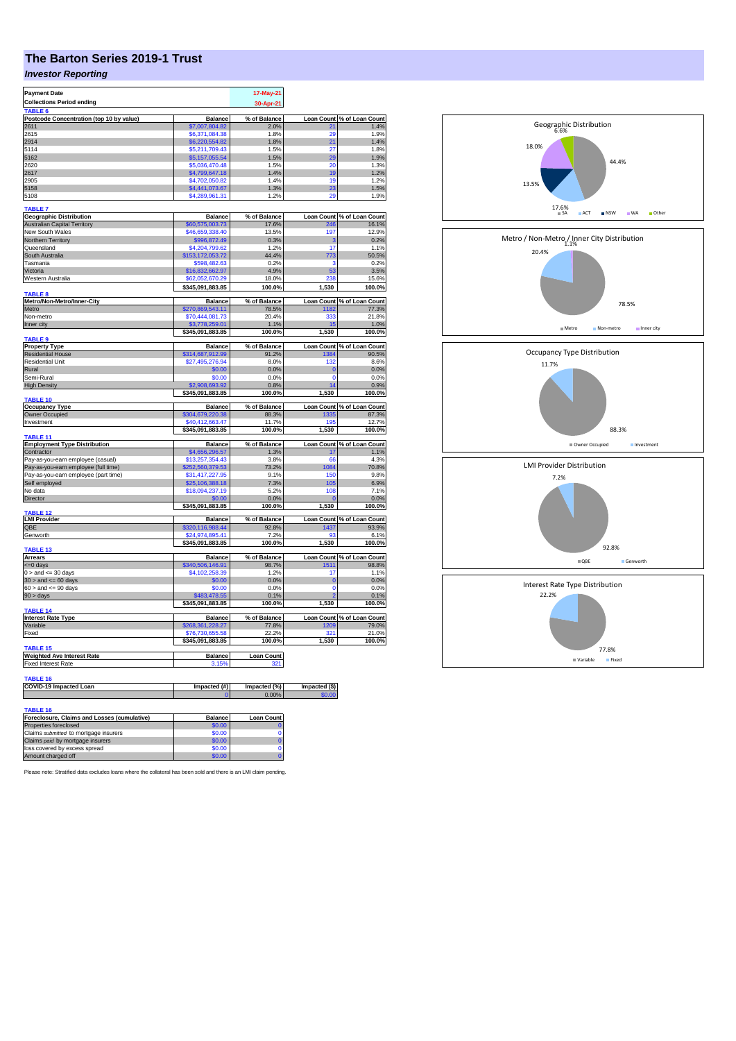## **The Barton Series 2019-1 Trust**

## *Investor Reporting*

| <b>Payment Date</b><br><b>Collections Period ending</b>              |                                     | 17-May-21<br>30-Apr-21 |                   |                            |
|----------------------------------------------------------------------|-------------------------------------|------------------------|-------------------|----------------------------|
| TABLE <sub>6</sub><br>Postcode Concentration (top 10 by value)       | <b>Balance</b>                      | % of Balance           |                   | Loan Count % of Loan Count |
| 2611                                                                 | \$7,007,804.82                      | 2.0%                   | 21                | 1.4%                       |
| 2615                                                                 | \$6,371,084.38                      | 1.8%                   | 29                | 1.9%                       |
| 2914                                                                 | \$6,220,554.82                      | 1.8%                   | 21                | 1.4%                       |
| 5114                                                                 | \$5,211,709.43                      | 1.5%                   | 27                | 1.8%                       |
| 5162<br>2620                                                         | \$5,157,055.54                      | 1.5%                   | 29                | 1.9%                       |
| 2617                                                                 | \$5,036,470.48<br>\$4,799,647.18    | 1.5%<br>1.4%           | 20<br>19          | 1.3%<br>1.2%               |
| 2905                                                                 | \$4,702,050.82                      | 1.4%                   | 19                | 1.2%                       |
| 5158                                                                 | \$4,441,073.67                      | 1.3%                   | 23                | 1.5%                       |
| 5108                                                                 | \$4,289,961.31                      | 1.2%                   | 29                | 1.9%                       |
| <b>TABLE 7</b>                                                       |                                     |                        |                   |                            |
| <b>Geographic Distribution</b>                                       | <b>Balance</b>                      | % of Balance           | <b>Loan Count</b> | % of Loan Count            |
| <b>Australian Capital Territory</b>                                  | \$60,575,003.73                     | 17.6%                  | 246               | 16.1%                      |
| New South Wales<br>Northern Territory                                | \$46,659,338.40                     | 13.5%                  | 197<br>з          | 12.9%                      |
| Queensland                                                           | \$996,872.49<br>\$4,204,799.62      | 0.3%<br>1.2%           | 17                | 0.2%<br>1.1%               |
| South Australia                                                      | \$153,172,053.72                    | 44.4%                  | 773               | 50.5%                      |
| Tasmania                                                             | \$598,482.63                        | 0.2%                   | з                 | 0.2%                       |
| Victoria                                                             | \$16,832,662.97                     | 4.9%                   | 53                | 3.5%                       |
| Western Australia                                                    | \$62,052,670.29                     | 18.0%                  | 238               | 15.6%                      |
| <b>TABLE 8</b>                                                       | \$345,091,883.85                    | 100.0%                 | 1,530             | 100.0%                     |
| Metro/Non-Metro/Inner-City                                           | <b>Balance</b>                      | % of Balance           |                   | Loan Count % of Loan Count |
| Metro                                                                | \$270,869,543.11                    | 78.5%                  | 1182              | 77.3%                      |
| Non-metro                                                            | \$70,444,081.73                     | 20.4%                  | 333               | 21.8%                      |
| Inner city                                                           | \$3,778,259.01<br>\$345,091,883.85  | 1.1%<br>100.0%         | 15<br>1,530       | 1.0%<br>100.0%             |
| <b>TABLE 9</b>                                                       |                                     |                        |                   |                            |
| <b>Property Type</b>                                                 | <b>Balance</b>                      | % of Balance           |                   | Loan Count % of Loan Count |
| <b>Residential House</b>                                             | \$314,687,912.99                    | 91.2%                  | 1384              | 90.5%                      |
| <b>Residential Unit</b>                                              | \$27,495,276.94                     | 8.0%                   | 132               | 8.6%                       |
| Rural<br>Semi-Rural                                                  | \$0.00<br>\$0.00                    | 0.0%<br>0.0%           | 0<br>0            | 0.0%<br>0.0%               |
| <b>High Density</b>                                                  | \$2,908,693.92                      | 0.8%                   | 14                | 0.9%                       |
|                                                                      | \$345,091,883.85                    | 100.0%                 | 1,530             | 100.0%                     |
| <b>TABLE 10</b><br><b>Occupancy Type</b>                             | <b>Balance</b>                      | % of Balance           | <b>Loan Count</b> | % of Loan Count            |
| Owner Occupied                                                       | \$304,679,220.38                    | 88.3%                  | 1335              | 87.3%                      |
| Investment                                                           | \$40,412,663.47                     | 11.7%                  | 195               | 12.7%                      |
|                                                                      | \$345,091,883.85                    | 100.0%                 | 1,530             | 100.0%                     |
| TABLE 11<br><b>Employment Type Distribution</b>                      | <b>Balance</b>                      | % of Balance           | <b>Loan Count</b> | % of Loan Count            |
| Contractor                                                           | \$4,656,296.57                      | 1.3%                   | 17                | 1.1%                       |
| Pay-as-you-earn employee (casual)                                    | \$13,257,354.43                     | 3.8%                   | 66                | 4.3%                       |
| Pay-as-you-earn employee (full time)                                 | \$252,560,379.53                    | 73.2%                  | 1084              | 70.8%                      |
| Pay-as-you-earn employee (part time)                                 | \$31,417,227.95                     | 9.1%                   | 150               | 9.8%                       |
| Self employed                                                        | \$25,106,388.18                     | 7.3%                   | 105               | 6.9%                       |
| No data                                                              | \$18,094,237.19<br>\$0.00           | 5.2%                   | 108<br>C          | 7.1%<br>0.0%               |
| Director                                                             | \$345,091,883.85                    | 0.0%<br>100.0%         | 1,530             | 100.0%                     |
| <b>TABLE 12</b>                                                      |                                     |                        |                   |                            |
| <b>LMI Provider</b>                                                  | <b>Balance</b>                      | % of Balance           |                   | Loan Count % of Loan Count |
| QBE<br>Genworth                                                      | \$320,116,988.44<br>\$24,974,895.41 | 92.8%<br>7.2%          | 1437<br>93        | 93.9%<br>6.1%              |
|                                                                      | \$345,091,883.85                    | 100.0%                 | 1,530             | 100.0%                     |
| <b>TABLE 13</b>                                                      |                                     |                        |                   |                            |
| Arrears                                                              | <b>Balance</b>                      | % of Balance           |                   | Loan Count % of Loan Count |
| $= 0$ days<br>$0 >$ and $\leq$ 30 days                               | \$340,506,146.91<br>\$4,102,258.39  | 98.7%<br>1.2%          | 1511<br>17        | 98.8%<br>1.1%              |
| $30 >$ and $\leq 60$ days                                            | \$0.00                              | 0.0%                   | $\mathbf 0$       | 0.0%                       |
| $60 >$ and $\leq 90$ days                                            | \$0.00                              | 0.0%                   | 0                 | 0.0%                       |
| 90 > days                                                            | \$483,478.55                        | 0.1%                   |                   | 0.1%                       |
| TABLE 14                                                             | \$345,091,883.85                    | 100.0%                 | 1,530             | 100.0%                     |
| <b>Interest Rate Type</b>                                            | <b>Balance</b>                      | % of Balance           | <b>Loan Count</b> | % of Loan Count            |
| Variable                                                             | \$268,361,228.27                    | 77.8%                  | 1209              | 79.0%                      |
| Fixed                                                                | \$76,730,655.58                     | 22.2%                  | 321               | 21.0%                      |
| <b>TABLE 15</b>                                                      | \$345,091,883.85                    | 100.0%                 | 1,530             | 100.0%                     |
| <b>Weighted Ave Interest Rate</b>                                    | <b>Balance</b>                      | <b>Loan Count</b>      |                   |                            |
| <b>Fixed Interest Rate</b>                                           | 3.15%                               |                        |                   |                            |
|                                                                      |                                     |                        |                   |                            |
| TABLE 16<br>COVID-19 Impacted Loan                                   | Impacted (#)                        | Impacted (%)           | Impacted (\$)     |                            |
|                                                                      |                                     | 0.00%                  |                   |                            |
|                                                                      |                                     |                        |                   |                            |
| <b>TABLE 16</b>                                                      |                                     |                        |                   |                            |
| Foreclosure, Claims and Losses (cumulative)<br>Properties foreclosed | <b>Balance</b><br>\$0.00            | <b>Loan Count</b>      |                   |                            |
| Claims submitted to mortgage insurers                                | \$0.00                              | 0                      |                   |                            |
| Claims paid by mortgage insurers                                     | \$0.00                              | $\mathbf 0$            |                   |                            |
| loss covered by excess spread                                        | \$0.00                              | 0                      |                   |                            |
| Amount charged off                                                   | \$0.00                              | $\overline{0}$         |                   |                            |

78.5% 20.4% Metro / Non-Metro / Inner City Distribution<br>1.1% **III** Metro IIII Non-metro IIII Inner city 22.2% Interest Rate Type Distribution 88.3% 11.7% Occupancy Type Distribution ■ Owner Occupied Investment 92.8% 7.2% LMI Provider Distribution QBE Genworth

77.8%

Variable Fixed

 $17.6%$ 

6.6% Geographic Distribution

13.5%

18.0%

44.4%

■ ACT ■ NSW ■ WA ■ Other

Please note: Stratified data excludes loans where the collateral has been sold and there is an LMI claim pending.